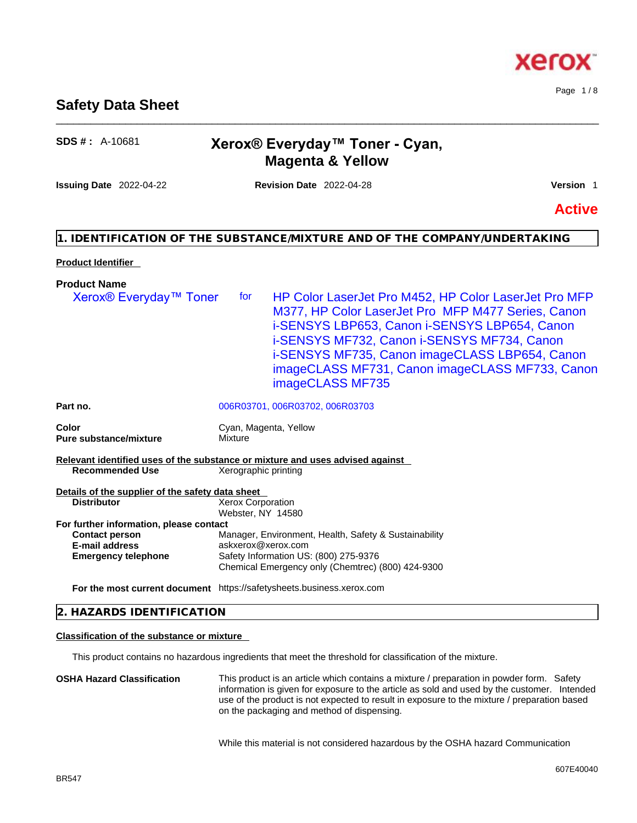# **Safety Data Sheet**

# **SDS # :** A-10681 **Xerox® Everyday™ Toner - Cyan, Magenta & Yellow**

\_\_\_\_\_\_\_\_\_\_\_\_\_\_\_\_\_\_\_\_\_\_\_\_\_\_\_\_\_\_\_\_\_\_\_\_\_\_\_\_\_\_\_\_\_\_\_\_\_\_\_\_\_\_\_\_\_\_\_\_\_\_\_\_\_\_\_\_\_\_\_\_\_\_\_\_\_\_\_\_\_\_\_\_\_\_\_\_\_\_\_\_\_\_

**Issuing Date** 2022-04-22 **Revision Date** 2022-04-28 **Version** 1

**Active**

#### **1. IDENTIFICATION OF THE SUBSTANCE/MIXTURE AND OF THE COMPANY/UNDERTAKING**

#### **Product Identifier**

**Product Name** 

# **Part no.** 006R03701, 006R03702, 006R03703 **Color** Cyan, Magenta, Yellow **Pure substance/mixture Mixture Relevant identified uses of the substance or mixture and uses advised against Recommended Use** Xerographic printing Xerox® Everyday™ Toner for HP Color LaserJet Pro M452, HP Color LaserJet Pro MFP M377, HP Color LaserJet Pro MFP M477 Series, Canon i-SENSYS LBP653, Canon i-SENSYS LBP654, Canon i-SENSYS MF732, Canon i-SENSYS MF734, Canon i-SENSYS MF735, Canon imageCLASS LBP654, Canon imageCLASS MF731, Canon imageCLASS MF733, Canon imageCLASS MF735

| Details of the supplier of the safety data sheet |                                                       |
|--------------------------------------------------|-------------------------------------------------------|
| <b>Distributor</b>                               | Xerox Corporation                                     |
|                                                  | Webster, NY 14580                                     |
| For further information, please contact          |                                                       |
| <b>Contact person</b>                            | Manager, Environment, Health, Safety & Sustainability |
| <b>E-mail address</b>                            | askxerox@xerox.com                                    |
| <b>Emergency telephone</b>                       | Safety Information US: (800) 275-9376                 |
|                                                  | Chemical Emergency only (Chemtrec) (800) 424-9300     |

**For the most current document** https://safetysheets.business.xerox.com

#### **2. HAZARDS IDENTIFICATION**

#### **Classification of the substance or mixture**

This product contains no hazardous ingredients that meet the threshold for classification of the mixture.

**OSHA Hazard Classification** This product is an article which contains a mixture / preparation in powder form. Safety information is given for exposure to the article as sold and used by the customer. Intended use of the product is not expected to result in exposure to the mixture / preparation based on the packaging and method of dispensing.

While this material is not considered hazardous by the OSHA hazard Communication



Page 1 / 8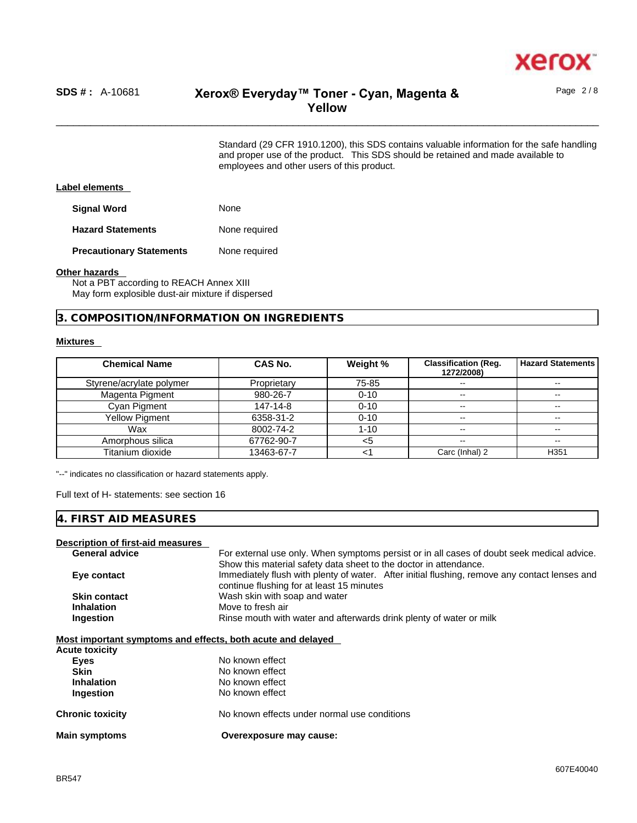

# \_\_\_\_\_\_\_\_\_\_\_\_\_\_\_\_\_\_\_\_\_\_\_\_\_\_\_\_\_\_\_\_\_\_\_\_\_\_\_\_\_\_\_\_\_\_\_\_\_\_\_\_\_\_\_\_\_\_\_\_\_\_\_\_\_\_\_\_\_\_\_\_\_\_\_\_\_\_\_\_\_\_\_\_\_\_\_\_\_\_\_\_\_\_ **SDS # :** A-10681 **Xerox® Everyday™ Toner - Cyan, Magenta & Yellow**

Page 2 / 8

Standard (29 CFR 1910.1200), this SDS contains valuable information for the safe handling and proper use of the product. This SDS should be retained and made available to employees and other users of this product.

#### **Label elements**

**Signal Word** None

**Hazard Statements** None required

**Precautionary Statements** None required

#### **Other hazards**

Not a PBT according to REACH Annex XIII May form explosible dust-air mixture if dispersed

**3. COMPOSITION/INFORMATION ON INGREDIENTS** 

#### **Mixtures**

| <b>Chemical Name</b>     | CAS No.     | Weight % | <b>Classification (Reg.</b><br>1272/2008) | <b>Hazard Statements</b> |
|--------------------------|-------------|----------|-------------------------------------------|--------------------------|
| Styrene/acrylate polymer | Proprietary | 75-85    | $\sim$                                    | --                       |
| Magenta Pigment          | 980-26-7    | $0 - 10$ | $\overline{\phantom{a}}$                  | $- -$                    |
| Cyan Pigment             | 147-14-8    | $0 - 10$ | $\overline{\phantom{m}}$                  | $\sim$ $\sim$            |
| <b>Yellow Pigment</b>    | 6358-31-2   | $0 - 10$ | $\overline{\phantom{m}}$                  |                          |
| Wax                      | 8002-74-2   | $1 - 10$ | $\overline{\phantom{a}}$                  |                          |
| Amorphous silica         | 67762-90-7  | <5       | $\overline{\phantom{m}}$                  | $\overline{\phantom{m}}$ |
| Titanium dioxide         | 13463-67-7  |          | Carc (Inhal) 2                            | H <sub>351</sub>         |

"--" indicates no classification or hazard statements apply.

Full text of H- statements: see section 16

#### **4. FIRST AID MEASURES**

#### **Description of first-aid measures**

| <b>General advice</b> | For external use only. When symptoms persist or in all cases of doubt seek medical advice.                                                 |
|-----------------------|--------------------------------------------------------------------------------------------------------------------------------------------|
|                       | Show this material safety data sheet to the doctor in attendance.                                                                          |
| Eye contact           | Immediately flush with plenty of water. After initial flushing, remove any contact lenses and<br>continue flushing for at least 15 minutes |
| <b>Skin contact</b>   | Wash skin with soap and water                                                                                                              |
| <b>Inhalation</b>     | Move to fresh air                                                                                                                          |
| Ingestion             | Rinse mouth with water and afterwards drink plenty of water or milk                                                                        |
|                       |                                                                                                                                            |

#### **Most important symptoms and effects, both acute and delayed**

| <b>Main symptoms</b>    | Overexposure may cause:                      |
|-------------------------|----------------------------------------------|
| <b>Chronic toxicity</b> | No known effects under normal use conditions |
| Ingestion               | No known effect                              |
| <b>Inhalation</b>       | No known effect                              |
| <b>Skin</b>             | No known effect                              |
| Eyes                    | No known effect                              |
| <b>Acute toxicity</b>   |                                              |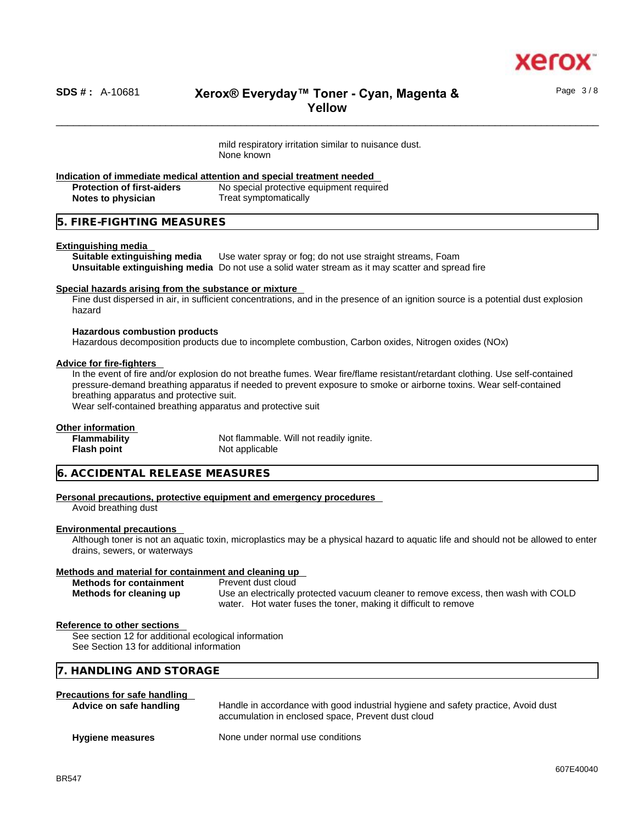

Page 3 / 8

# \_\_\_\_\_\_\_\_\_\_\_\_\_\_\_\_\_\_\_\_\_\_\_\_\_\_\_\_\_\_\_\_\_\_\_\_\_\_\_\_\_\_\_\_\_\_\_\_\_\_\_\_\_\_\_\_\_\_\_\_\_\_\_\_\_\_\_\_\_\_\_\_\_\_\_\_\_\_\_\_\_\_\_\_\_\_\_\_\_\_\_\_\_\_ **SDS # :** A-10681 **Xerox® Everyday™ Toner - Cyan, Magenta & Yellow**

mild respiratory irritation similar to nuisance dust. None known

# **Indication of immediate medical attention and special treatment needed**

**Protection of first-aiders** No special protective equipment required **Notes to physician** Treat symptomatically

#### **5. FIRE-FIGHTING MEASURES**

#### **Extinguishing media**

**Suitable extinguishing media** Use water spray or fog; do not use straight streams, Foam **Unsuitable extinguishing media** Do not use a solid water stream as it may scatterand spread fire

#### **Special hazards arising from the substance or mixture**

Fine dust dispersed in air, in sufficient concentrations, and in the presence of an ignition source is a potential dust explosion hazard

#### **Hazardous combustion products**

Hazardous decomposition products due to incomplete combustion, Carbon oxides, Nitrogen oxides (NOx)

#### **Advice for fire-fighters**

In the event of fire and/or explosion do not breathe fumes. Wear fire/flame resistant/retardant clothing. Use self-contained pressure-demand breathing apparatus if needed to prevent exposure to smoke or airborne toxins. Wear self-contained breathing apparatus and protective suit.

Wear self-contained breathing apparatus and protective suit

#### **Other information**

| <b>Flammability</b> | Not flammable. Will not readily ignite. |
|---------------------|-----------------------------------------|
| <b>Flash point</b>  | Not applicable                          |

#### **6. ACCIDENTAL RELEASE MEASURES**

#### **Personal precautions, protective equipment and emergency procedures**

Avoid breathing dust

#### **Environmental precautions**

Although toner is not an aquatic toxin, microplastics may be a physical hazard to aquatic life and should not be allowed to enter drains, sewers, or waterways

#### **Methods and material for containment and cleaning up**

| <b>Methods for containment</b> | Prevent dust cloud                                                                 |
|--------------------------------|------------------------------------------------------------------------------------|
| Methods for cleaning up        | Use an electrically protected vacuum cleaner to remove excess, then wash with COLD |
|                                | water. Hot water fuses the toner, making it difficult to remove                    |

#### **Reference to other sections**

**See section 12 for additional ecological information** See Section 13 for additional information

### **7. HANDLING AND STORAGE**

#### **Precautions for safe handling**

| Advice on safe handling | Handle in accordance with good industrial hygiene and safety practice, Avoid dust<br>accumulation in enclosed space, Prevent dust cloud |
|-------------------------|-----------------------------------------------------------------------------------------------------------------------------------------|
| <b>Hygiene measures</b> | None under normal use conditions                                                                                                        |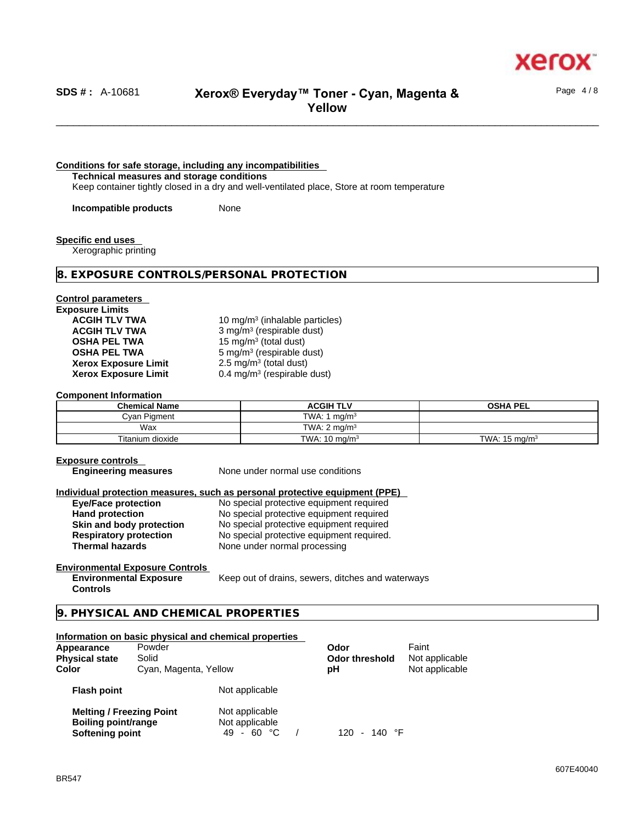

Page 4 / 8

## \_\_\_\_\_\_\_\_\_\_\_\_\_\_\_\_\_\_\_\_\_\_\_\_\_\_\_\_\_\_\_\_\_\_\_\_\_\_\_\_\_\_\_\_\_\_\_\_\_\_\_\_\_\_\_\_\_\_\_\_\_\_\_\_\_\_\_\_\_\_\_\_\_\_\_\_\_\_\_\_\_\_\_\_\_\_\_\_\_\_\_\_\_\_ **SDS # :** A-10681 **Xerox® Everyday™ Toner - Cyan, Magenta & Yellow**

#### **Conditions for safe storage, including any incompatibilities**

**Technical measures and storage conditions**

Keep container tightly closed in a dry and well-ventilated place, Store at room temperature

**Incompatible products** None

**Specific end uses** 

Xerographic printing

#### **8. EXPOSURE CONTROLS/PERSONAL PROTECTION**

#### **Control parameters Exposure Limits**

**Xerox Exposure Limit<br>Xerox Exposure Limit** 

**ACGIH TLV TWA** 10 mg/m<sup>3</sup> (inhalable particles) **ACGIH TLV TWA** 3 mg/m<sup>3</sup> (respirable dust) **OSHA PEL TWA** 15 mg/m<sup>3</sup> (total dust) **OSHA PEL TWA** 5 mg/m<sup>3</sup> (respirable dust)  $2.5 \text{ mg/m}^3$  (total dust) **Xerox Exposure Limit** 0.4 mg/m<sup>3</sup> (respirable dust)

#### **Component Information**

| <b>Chemical Name</b> | ACGIH TLV                | <b>OSHA PEL</b>          |
|----------------------|--------------------------|--------------------------|
| Cvan Pigment         | TWA: 1 $ma/m3$           |                          |
| Wax                  | TWA: $2 \text{ ma/m}^3$  |                          |
| Titanium dioxide     | TWA: $10 \text{ ma/m}^3$ | TWA: $15 \text{ ma/m}^3$ |

#### **Exposure controls**

**Engineering measures** None under normal use conditions

# **Individual protection measures, such as personal protective equipment (PPE)**

**Eye/Face protection**<br> **Exercise 2018** No special protective equipment required<br>
No special protective equipment required **Hand protection**<br> **Hand protection**<br>
No special protective equipment required<br>
No special protective equipment required **Skin and body protection** No special protective equipment required **Respiratory protection** No special protective equipment required. **Thermal hazards** None under normal processing

#### **Environmental Exposure Controls**

**Environmental Exposure Controls**  Keep out of drains, sewers, ditches and waterways

#### **9. PHYSICAL AND CHEMICAL PROPERTIES**

#### **Information on basic physical and chemical properties**

| Appearance<br><b>Physical state</b><br>Color                              | Powder<br>Solid<br>Cyan, Magenta, Yellow |                                                | Odor<br><b>Odor threshold</b><br>рH       | Faint<br>Not applicable<br>Not applicable |  |
|---------------------------------------------------------------------------|------------------------------------------|------------------------------------------------|-------------------------------------------|-------------------------------------------|--|
| <b>Flash point</b>                                                        |                                          | Not applicable                                 |                                           |                                           |  |
| <b>Melting / Freezing Point</b><br>Boiling point/range<br>Softening point |                                          | Not applicable<br>Not applicable<br>49 - 60 °C | 140 °F<br>120<br>$\overline{\phantom{0}}$ |                                           |  |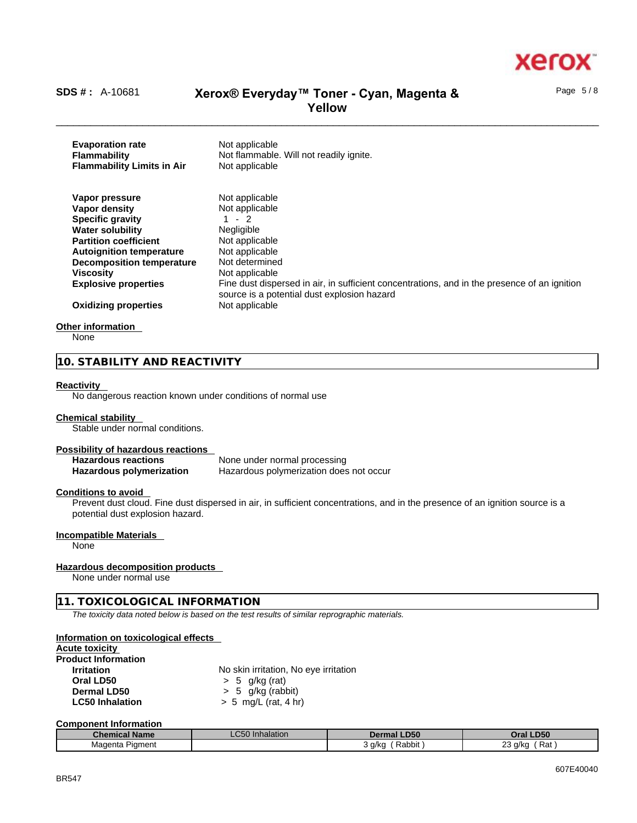

Page 5 / 8

# \_\_\_\_\_\_\_\_\_\_\_\_\_\_\_\_\_\_\_\_\_\_\_\_\_\_\_\_\_\_\_\_\_\_\_\_\_\_\_\_\_\_\_\_\_\_\_\_\_\_\_\_\_\_\_\_\_\_\_\_\_\_\_\_\_\_\_\_\_\_\_\_\_\_\_\_\_\_\_\_\_\_\_\_\_\_\_\_\_\_\_\_\_\_ **SDS # :** A-10681 **Xerox® Everyday™ Toner - Cyan, Magenta & Yellow**

**Evaporation rate** Not applicable **Flammability** Not flammable. Will not readily ignite. **Flammability Limits in Air** Not applicable **Vapor pressure** Not applicable **Vapor density Not applicable Specific gravity** 1 - 2 **Water solubility** Negligible **Partition coefficient** Not applicable **Autoignition temperature** Not applicable<br>**Decomposition temperature** Not determined **Decomposition temperature Viscosity Not applicable Explosive properties** Fine dust dispersed in air, in sufficient concentrations, and in the presence of an ignition source is a potential dust explosion hazard **Oxidizing properties** Not applicable

#### **Other information**

None

#### **10. STABILITY AND REACTIVITY**

#### **Reactivity**

No dangerous reaction known under conditions of normal use

#### **Chemical stability**

Stable under normal conditions.

#### **Possibility of hazardous reactions**

**Hazardous reactions** None under normal processing **Hazardous polymerization** Hazardous polymerization does not occur

#### **Conditions to avoid**

Prevent dust cloud. Fine dust dispersed in air, in sufficient concentrations, and in the presence of an ignition source is a potential dust explosion hazard.

#### **Incompatible Materials**

None

#### **Hazardous decomposition products**

None under normal use

#### **11. TOXICOLOGICAL INFORMATION**

*The toxicity data noted below is based on the test results of similar reprographic materials.* 

#### **Information on toxicological effects**

### **Acute toxicity**

| <b>Product Information</b> |                                       |
|----------------------------|---------------------------------------|
| <b>Irritation</b>          | No skin irritation, No eye irritation |
| Oral LD50                  | > 5 g/kg (rat)                        |
| Dermal LD50                | $> 5$ g/kg (rabbit)                   |
| <b>LC50 Inhalation</b>     | $> 5$ mg/L (rat, 4 hr)                |

#### **Component Information**

| <b>Chemical Name</b> | <b>LC50</b> Inhalation | <b>Dermal LD50</b> | Oral LD50                |
|----------------------|------------------------|--------------------|--------------------------|
| Piament<br>Magenta   |                        | Rabbit<br>. a/ko د | nn.<br>Rat<br>′ g/ka ل∠ے |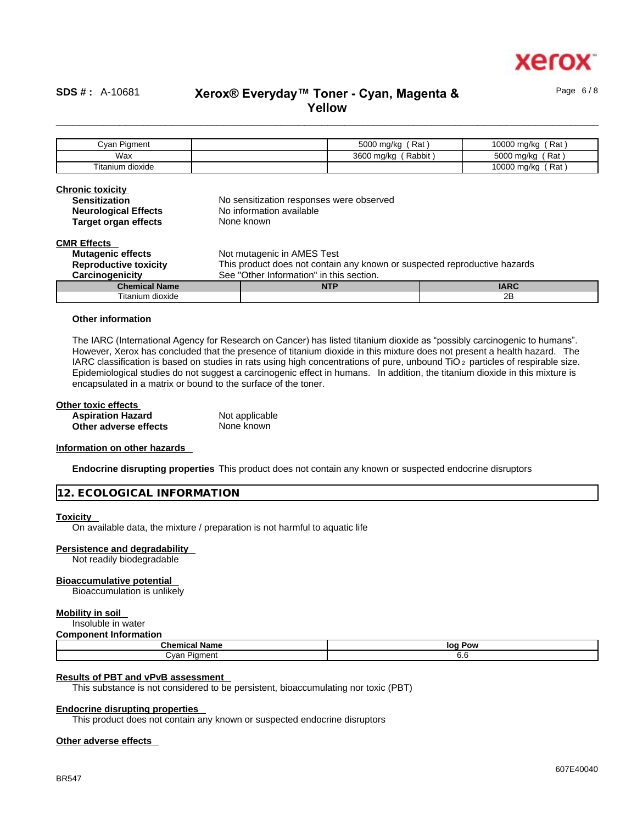

Page 6 / 8

# \_\_\_\_\_\_\_\_\_\_\_\_\_\_\_\_\_\_\_\_\_\_\_\_\_\_\_\_\_\_\_\_\_\_\_\_\_\_\_\_\_\_\_\_\_\_\_\_\_\_\_\_\_\_\_\_\_\_\_\_\_\_\_\_\_\_\_\_\_\_\_\_\_\_\_\_\_\_\_\_\_\_\_\_\_\_\_\_\_\_\_\_\_\_ **SDS # :** A-10681 **Xerox® Everyday™ Toner - Cyan, Magenta & Yellow**

Cyan Pigment | Cyan Pigment | S000 mg/kg (Rat ) 10000 mg/kg (Rat ) Wax and the state of the state of the state of the state of the state of the state of the state of the state of the state of the state of the state of the state of the state of the state of the state of the state of the st Titanium dioxide 10000 mg/kg (Rat ) 10000 mg/kg (Rat ) 10000 mg/kg (Rat ) 10000 mg/kg (Rat ) 10000 mg/kg (Rat )

| <b>Chronic toxicity</b><br><b>Sensitization</b><br><b>Neurological Effects</b> |                                                                           | No sensitization responses were observed<br>No information available |             |
|--------------------------------------------------------------------------------|---------------------------------------------------------------------------|----------------------------------------------------------------------|-------------|
| <b>Target organ effects</b>                                                    |                                                                           | None known                                                           |             |
| <b>CMR Effects</b>                                                             |                                                                           |                                                                      |             |
| <b>Mutagenic effects</b>                                                       |                                                                           | Not mutagenic in AMES Test                                           |             |
| <b>Reproductive toxicity</b>                                                   | This product does not contain any known or suspected reproductive hazards |                                                                      |             |
| Carcinogenicity                                                                | See "Other Information" in this section.                                  |                                                                      |             |
| <b>Chemical Name</b>                                                           |                                                                           | <b>NTP</b>                                                           | <b>IARC</b> |
| Titanium dioxide                                                               |                                                                           |                                                                      | 2B          |

#### **Other information**

The IARC (International Agency for Research on Cancer) has listed titanium dioxide as "possibly carcinogenic to humans". However, Xerox has concluded that the presence of titanium dioxide in this mixture does not present a health hazard. The IARC classification is based on studies in rats using high concentrations of pure, unbound TiO 2 particles of respirable size. Epidemiological studies do not suggest a carcinogenic effect in humans. In addition, the titanium dioxide in this mixture is encapsulated in a matrix or bound to the surface of the toner.

#### **Other toxic effects**

| <b>Aspiration Hazard</b> | Not applicable |  |
|--------------------------|----------------|--|
| Other adverse effects    | None known     |  |

#### **Information on other hazards**

**Endocrine disrupting properties** This product does not contain any known or suspected endocrine disruptors

|  |  |  | 12. ECOLOGICAL INFORMATION |
|--|--|--|----------------------------|
|--|--|--|----------------------------|

#### **Toxicity**

On available data, the mixture / preparation is not harmful to aquatic life

#### **Persistence and degradability**

Not readily biodegradable

#### **Bioaccumulative potential**

Bioaccumulation is unlikely

#### **Mobility in soil**

Insoluble in water

#### **Component Information**

| Cher<br>- -- -<br>' Name<br>mıca | Pow<br>loc |
|----------------------------------|------------|
| ∵van<br>Piament                  | v.v        |

#### **Results of PBT and vPvB assessment**

This substance is not considered to be persistent, bioaccumulating nor toxic (PBT)

#### **Endocrine disrupting properties**

This product does not contain any known or suspected endocrine disruptors

#### **Other adverse effects**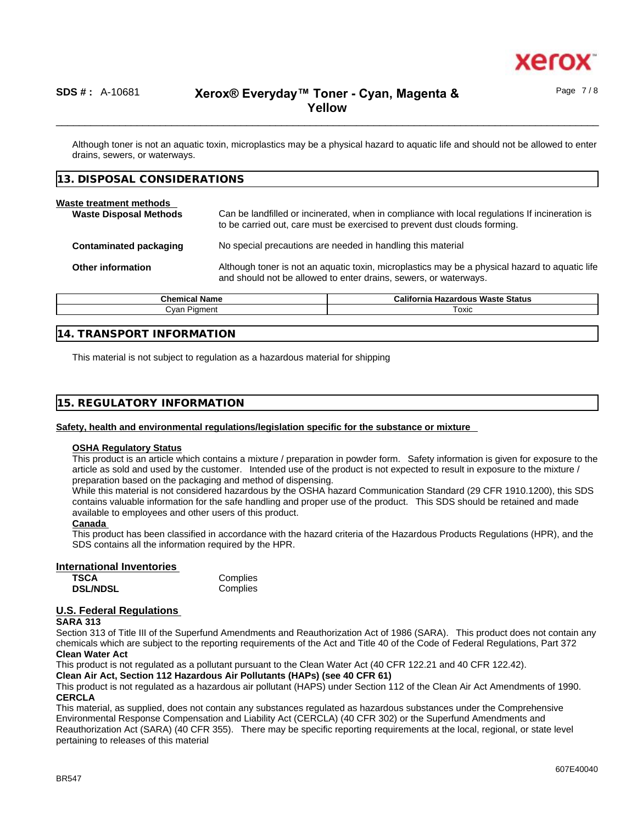

## \_\_\_\_\_\_\_\_\_\_\_\_\_\_\_\_\_\_\_\_\_\_\_\_\_\_\_\_\_\_\_\_\_\_\_\_\_\_\_\_\_\_\_\_\_\_\_\_\_\_\_\_\_\_\_\_\_\_\_\_\_\_\_\_\_\_\_\_\_\_\_\_\_\_\_\_\_\_\_\_\_\_\_\_\_\_\_\_\_\_\_\_\_\_ **SDS # :** A-10681 **Xerox® Everyday™ Toner - Cyan, Magenta & Yellow**

Although toner is not an aquatic toxin, microplastics may be a physical hazard to aquatic life and should not be allowed to enter drains, sewers, or waterways.

| Waste treatment methods<br>Can be landfilled or incinerated, when in compliance with local regulations If incineration is<br><b>Waste Disposal Methods</b><br>to be carried out, care must be exercised to prevent dust clouds forming. |
|-----------------------------------------------------------------------------------------------------------------------------------------------------------------------------------------------------------------------------------------|
|                                                                                                                                                                                                                                         |
| No special precautions are needed in handling this material<br><b>Contaminated packaging</b>                                                                                                                                            |
| Although toner is not an aquatic toxin, microplastics may be a physical hazard to aquatic life<br><b>Other information</b><br>and should not be allowed to enter drains, sewers, or waterways.                                          |

| Chemical Name | <b>California</b><br><b>Hazardous Waste Status</b> |
|---------------|----------------------------------------------------|
| าment<br>∶van | Toxic                                              |
|               |                                                    |

#### **14. TRANSPORT INFORMATION**

This material is not subject to regulation as a hazardous material for shipping

#### **15. REGULATORY INFORMATION**

#### **Safety, health and environmental regulations/legislation specific for the substance or mixture**

#### **OSHA Regulatory Status**

This product is an article which contains a mixture / preparation in powder form. Safety information is given for exposure to the article as sold and used by the customer. Intended use of the product is not expected to result in exposure to the mixture / preparation based on the packaging and method of dispensing.

While this material is not considered hazardous by the OSHA hazard Communication Standard (29 CFR 1910.1200), this SDS contains valuable information for the safe handling and proper use of the product. This SDS should be retained and made available to employees and other users of this product.

#### **Canada**

This product has been classified in accordance with the hazard criteria of the Hazardous Products Regulations (HPR), and the SDS contains all the information required by the HPR.

#### **International Inventories**

| <b>TSCA</b>     | Complies |
|-----------------|----------|
| <b>DSL/NDSL</b> | Complies |

#### **U.S. Federal Regulations**

#### **SARA 313**

Section 313 of Title III of the Superfund Amendments and Reauthorization Act of 1986 (SARA). This product does not contain any chemicals which are subject to the reporting requirements of the Act and Title 40 of the Code of Federal Regulations, Part 372 **Clean Water Act**

This product is not regulated as a pollutant pursuant to the Clean Water Act (40 CFR 122.21 and 40 CFR 122.42).

**Clean Air Act,Section 112 Hazardous Air Pollutants (HAPs) (see 40 CFR 61)**

This product is not regulated as a hazardous air pollutant (HAPS) under Section 112 of the Clean Air Act Amendments of 1990. **CERCLA**

This material, as supplied, does not contain any substances regulated as hazardous substances under the Comprehensive Environmental Response Compensation and Liability Act (CERCLA) (40 CFR 302) or the Superfund Amendments and Reauthorization Act (SARA) (40 CFR 355). There may be specific reporting requirements at the local, regional, or state level pertaining to releases of this material